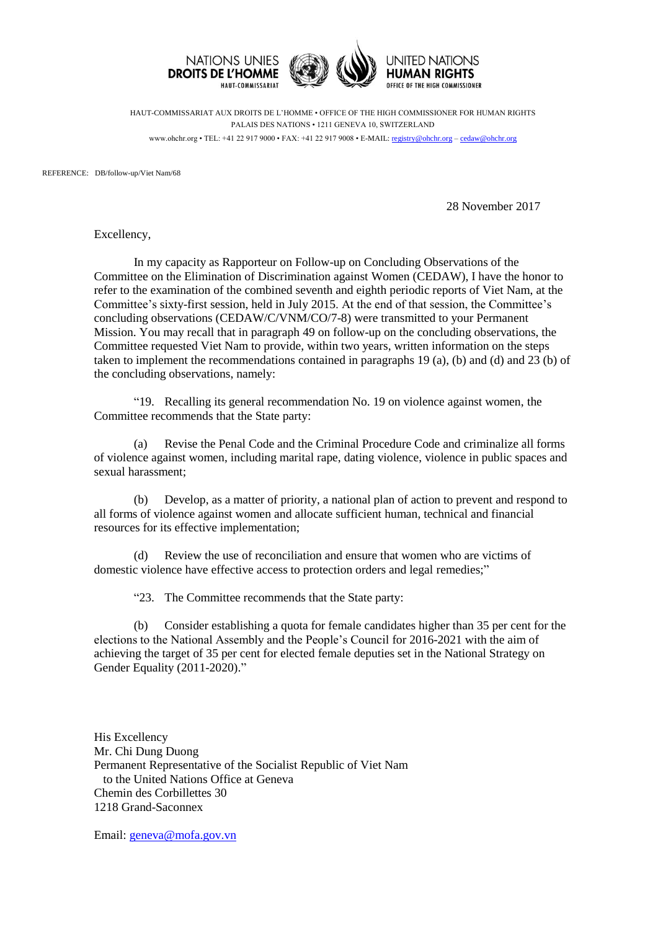

HAUT-COMMISSARIAT AUX DROITS DE L'HOMME • OFFICE OF THE HIGH COMMISSIONER FOR HUMAN RIGHTS PALAIS DES NATIONS • 1211 GENEVA 10, SWITZERLAND www.ohchr.org • TEL: +41 22 917 9000 • FAX: +41 22 917 9008 • E-MAIL: [registry@ohchr.org](mailto:registry@ohchr.org) – [cedaw@ohchr.org](mailto:cedaw@ohchr.org)

REFERENCE: DB/follow-up/Viet Nam/68

28 November 2017

Excellency,

In my capacity as Rapporteur on Follow-up on Concluding Observations of the Committee on the Elimination of Discrimination against Women (CEDAW), I have the honor to refer to the examination of the combined seventh and eighth periodic reports of Viet Nam, at the Committee's sixty-first session, held in July 2015. At the end of that session, the Committee's concluding observations (CEDAW/C/VNM/CO/7-8) were transmitted to your Permanent Mission. You may recall that in paragraph 49 on follow-up on the concluding observations, the Committee requested Viet Nam to provide, within two years, written information on the steps taken to implement the recommendations contained in paragraphs 19 (a), (b) and (d) and 23 (b) of the concluding observations, namely:

"19. Recalling its general recommendation No. 19 on violence against women, the Committee recommends that the State party:

(a) Revise the Penal Code and the Criminal Procedure Code and criminalize all forms of violence against women, including marital rape, dating violence, violence in public spaces and sexual harassment;

(b) Develop, as a matter of priority, a national plan of action to prevent and respond to all forms of violence against women and allocate sufficient human, technical and financial resources for its effective implementation;

(d) Review the use of reconciliation and ensure that women who are victims of domestic violence have effective access to protection orders and legal remedies;"

"23. The Committee recommends that the State party:

(b) Consider establishing a quota for female candidates higher than 35 per cent for the elections to the National Assembly and the People's Council for 2016-2021 with the aim of achieving the target of 35 per cent for elected female deputies set in the National Strategy on Gender Equality (2011-2020)."

His Excellency Mr. Chi Dung Duong Permanent Representative of the Socialist Republic of Viet Nam to the United Nations Office at Geneva Chemin des Corbillettes 30 1218 Grand-Saconnex

Email: [geneva@mofa.gov.vn](mailto:geneva@mofa.gov.vn)